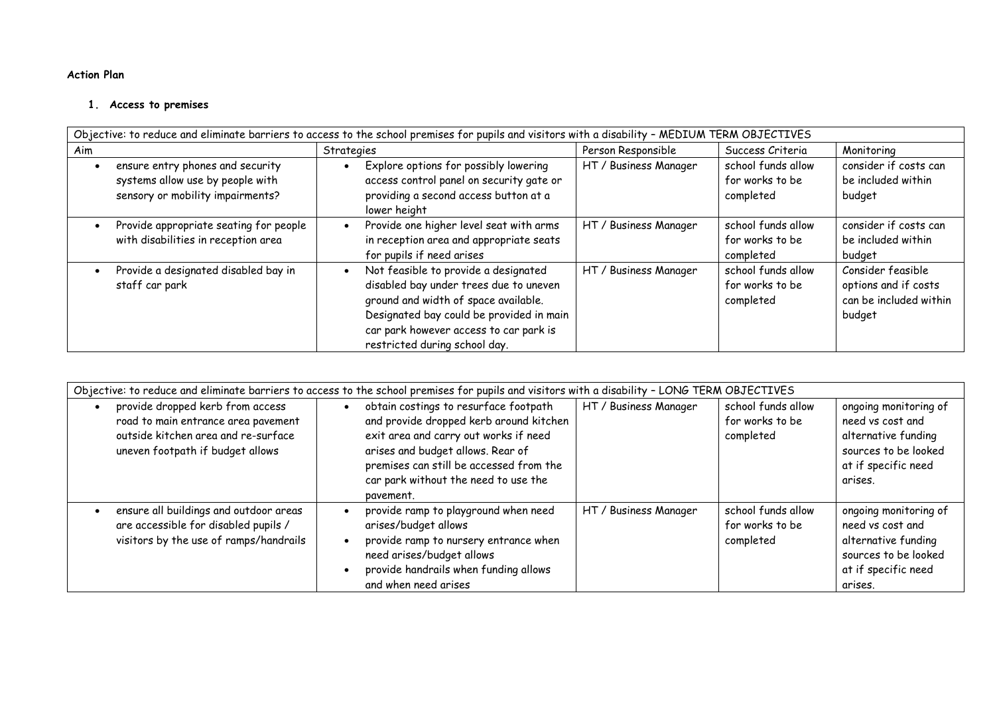## **Action Plan**

## **1. Access to premises**

| Objective: to reduce and eliminate barriers to access to the school premises for pupils and visitors with a disability - MEDIUM TERM OBJECTIVES |                                                                                                          |  |                                                                                                                                                                                                                                               |                       |                                                    |                                                                               |
|-------------------------------------------------------------------------------------------------------------------------------------------------|----------------------------------------------------------------------------------------------------------|--|-----------------------------------------------------------------------------------------------------------------------------------------------------------------------------------------------------------------------------------------------|-----------------------|----------------------------------------------------|-------------------------------------------------------------------------------|
| Aim                                                                                                                                             |                                                                                                          |  | Strategies                                                                                                                                                                                                                                    | Person Responsible    | Success Criteria                                   | Monitoring                                                                    |
|                                                                                                                                                 | ensure entry phones and security<br>systems allow use by people with<br>sensory or mobility impairments? |  | Explore options for possibly lowering<br>access control panel on security gate or<br>providing a second access button at a<br>lower height                                                                                                    | HT / Business Manager | school funds allow<br>for works to be<br>completed | consider if costs can<br>be included within<br>budget                         |
|                                                                                                                                                 | Provide appropriate seating for people<br>with disabilities in reception area                            |  | Provide one higher level seat with arms<br>in reception area and appropriate seats<br>for pupils if need arises                                                                                                                               | HT / Business Manager | school funds allow<br>for works to be<br>completed | consider if costs can<br>be included within<br>budget                         |
|                                                                                                                                                 | Provide a designated disabled bay in<br>staff car park                                                   |  | Not feasible to provide a designated<br>disabled bay under trees due to uneven<br>ground and width of space available.<br>Designated bay could be provided in main<br>car park however access to car park is<br>restricted during school day. | HT / Business Manager | school funds allow<br>for works to be<br>completed | Consider feasible<br>options and if costs<br>can be included within<br>budget |

| Objective: to reduce and eliminate barriers to access to the school premises for pupils and visitors with a disability - LONG TERM OBJECTIVES      |                                                                                                                                                                                                                                                                                                                                               |                                                                                                                            |  |  |  |  |
|----------------------------------------------------------------------------------------------------------------------------------------------------|-----------------------------------------------------------------------------------------------------------------------------------------------------------------------------------------------------------------------------------------------------------------------------------------------------------------------------------------------|----------------------------------------------------------------------------------------------------------------------------|--|--|--|--|
| provide dropped kerb from access<br>road to main entrance area pavement<br>outside kitchen area and re-surface<br>uneven footpath if budget allows | obtain costings to resurface footpath<br>school funds allow<br>HT / Business Manager<br>and provide dropped kerb around kitchen<br>for works to be<br>exit area and carry out works if need<br>completed<br>arises and budget allows. Rear of<br>premises can still be accessed from the<br>car park without the need to use the<br>pavement. | ongoing monitoring of<br>need vs cost and<br>alternative funding<br>sources to be looked<br>at if specific need<br>arises. |  |  |  |  |
| ensure all buildings and outdoor areas<br>are accessible for disabled pupils /<br>visitors by the use of ramps/handrails                           | provide ramp to playground when need<br>school funds allow<br>HT / Business Manager<br>arises/budget allows<br>for works to be<br>provide ramp to nursery entrance when<br>completed<br>need arises/budget allows<br>provide handrails when funding allows<br>and when need arises                                                            | ongoing monitoring of<br>need vs cost and<br>alternative funding<br>sources to be looked<br>at if specific need<br>arises. |  |  |  |  |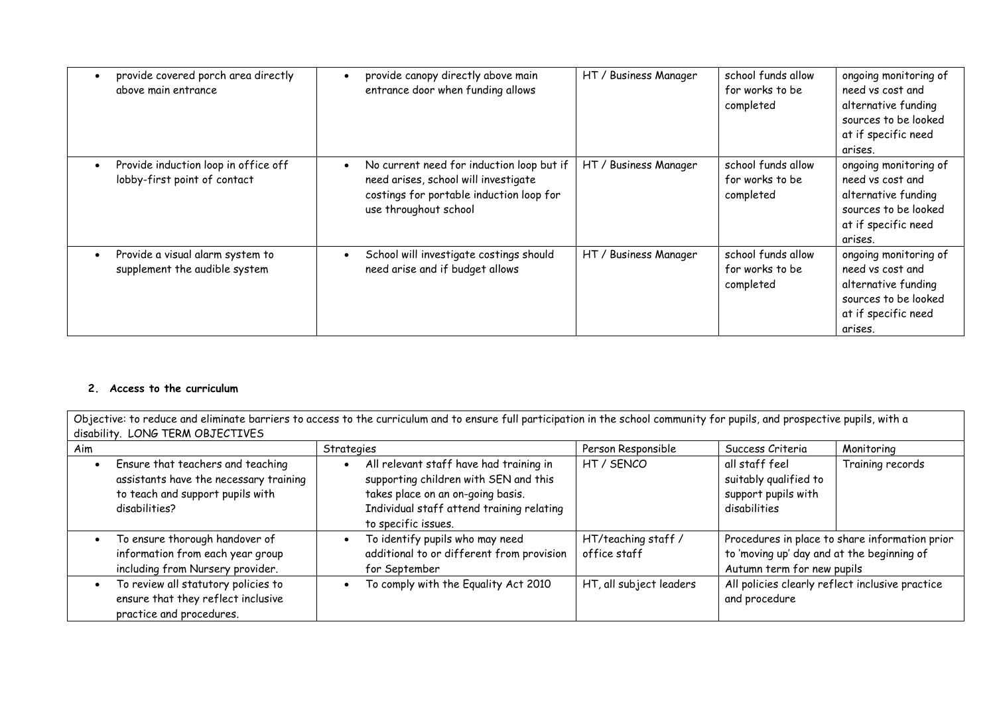| provide covered porch area directly<br>above main entrance                        | provide canopy directly above main<br>entrance door when funding allows                                                                                | HT / Business Manager | school funds allow<br>for works to be<br>completed | ongoing monitoring of<br>need vs cost and<br>alternative funding<br>sources to be looked<br>at if specific need<br>arises. |
|-----------------------------------------------------------------------------------|--------------------------------------------------------------------------------------------------------------------------------------------------------|-----------------------|----------------------------------------------------|----------------------------------------------------------------------------------------------------------------------------|
| Provide induction loop in office off<br>$\bullet$<br>lobby-first point of contact | No current need for induction loop but if<br>need arises, school will investigate<br>costings for portable induction loop for<br>use throughout school | HT / Business Manager | school funds allow<br>for works to be<br>completed | ongoing monitoring of<br>need vs cost and<br>alternative funding<br>sources to be looked<br>at if specific need<br>arises. |
| Provide a visual alarm system to<br>$\bullet$<br>supplement the audible system    | School will investigate costings should<br>need arise and if budget allows                                                                             | HT / Business Manager | school funds allow<br>for works to be<br>completed | ongoing monitoring of<br>need vs cost and<br>alternative funding<br>sources to be looked<br>at if specific need<br>arises. |

## **2. Access to the curriculum**

| Objective: to reduce and eliminate barriers to access to the curriculum and to ensure full participation in the school community for pupils, and prospective pupils, with a<br>disability. LONG TERM OBJECTIVES |                                                                                                                                  |            |                                                                                                                                                                                           |                                     |                                                                                                                            |                  |
|-----------------------------------------------------------------------------------------------------------------------------------------------------------------------------------------------------------------|----------------------------------------------------------------------------------------------------------------------------------|------------|-------------------------------------------------------------------------------------------------------------------------------------------------------------------------------------------|-------------------------------------|----------------------------------------------------------------------------------------------------------------------------|------------------|
| Aim                                                                                                                                                                                                             |                                                                                                                                  | Strategies |                                                                                                                                                                                           | Person Responsible                  | Success Criteria                                                                                                           | Monitoring       |
|                                                                                                                                                                                                                 | Ensure that teachers and teaching<br>assistants have the necessary training<br>to teach and support pupils with<br>disabilities? |            | All relevant staff have had training in<br>supporting children with SEN and this<br>takes place on an on-going basis.<br>Individual staff attend training relating<br>to specific issues. | HT / SENCO                          | all staff feel<br>suitably qualified to<br>support pupils with<br>disabilities                                             | Training records |
|                                                                                                                                                                                                                 | To ensure thorough handover of<br>information from each year group<br>including from Nursery provider.                           |            | To identify pupils who may need<br>additional to or different from provision<br>for September                                                                                             | HT/teaching staff /<br>office staff | Procedures in place to share information prior<br>to 'moving up' day and at the beginning of<br>Autumn term for new pupils |                  |
|                                                                                                                                                                                                                 | To review all statutory policies to<br>ensure that they reflect inclusive<br>practice and procedures.                            |            | To comply with the Equality Act 2010                                                                                                                                                      | HT, all subject leaders             | All policies clearly reflect inclusive practice<br>and procedure                                                           |                  |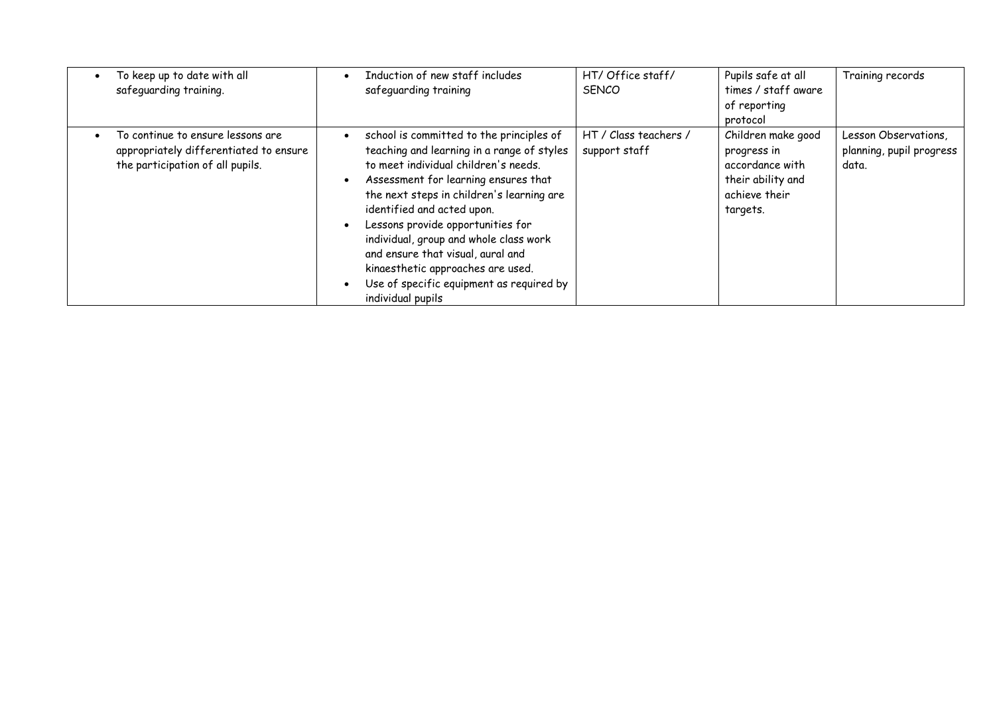| To keep up to date with all            | Induction of new staff includes            | HT/ Office staff/     | Pupils safe at all  | Training records         |
|----------------------------------------|--------------------------------------------|-----------------------|---------------------|--------------------------|
| safeguarding training.                 | safeguarding training                      | <b>SENCO</b>          | times / staff aware |                          |
|                                        |                                            |                       | of reporting        |                          |
|                                        |                                            |                       | protocol            |                          |
| To continue to ensure lessons are      | school is committed to the principles of   | HT / Class teachers / | Children make good  | Lesson Observations,     |
| appropriately differentiated to ensure | teaching and learning in a range of styles | support staff         | progress in         | planning, pupil progress |
| the participation of all pupils.       | to meet individual children's needs.       |                       | accordance with     | data.                    |
|                                        | Assessment for learning ensures that       |                       | their ability and   |                          |
|                                        | the next steps in children's learning are  |                       | achieve their       |                          |
|                                        | identified and acted upon.                 |                       | targets.            |                          |
|                                        | Lessons provide opportunities for          |                       |                     |                          |
|                                        | individual, group and whole class work     |                       |                     |                          |
|                                        | and ensure that visual, aural and          |                       |                     |                          |
|                                        | kinaesthetic approaches are used.          |                       |                     |                          |
|                                        | Use of specific equipment as required by   |                       |                     |                          |
|                                        | individual pupils                          |                       |                     |                          |